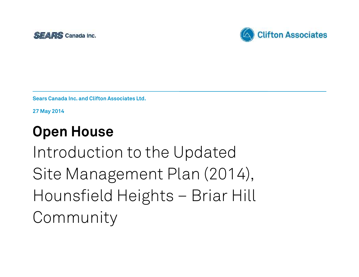



**Sears Canada Inc. and Clifton Associates Ltd.**

**27 May 2014**

# **Open House**

Introduction to the Updated Site Management Plan (2014), Hounsfield Heights – Briar Hill Community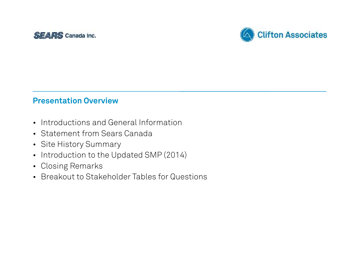



#### **Presentation Overview**

- Introductions and General Information
- Statement from Sears Canada
- Site History Summary
- Introduction to the Updated SMP (2014)
- Closing Remarks
- Breakout to Stakeholder Tables for Questions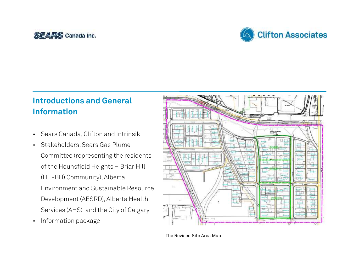#### SEARS Canada Inc.



# **Introductions and General Information**

- Sears Canada,Clifton and Intrinsik
- Environment and Sustainable Resource Development (AESRD), Alberta Health Services (AHS) and the City of Calgary • Stakeholders:Sears Gas Plume Committee (representing the residents of the Hounsfield Heights – Briar Hill (HH-BH) Community), Alberta
- Information package



The Revised Site Area Map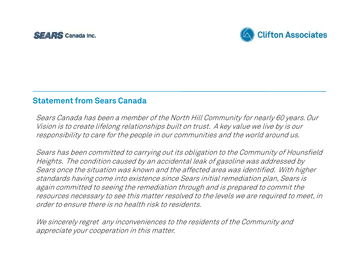



#### **Statement from Sears Canada**

 *Sears Canada has been <sup>a</sup> member of the North Hill Community for nearly 60 years.Our Vision is to create lifelong relationships built on trust. A key value we live by is our responsibility to care for the people in our communities and the world around us.*

 *Sears has been committed to carrying out its obligation to the Community of Hounsfield Heights. The condition caused by an accidental leak of gasoline was addressed by Sears once the situation was known and the affected area was identified. With higher standards having come into existence since Sears initial remediation plan, Sears is again committed to seeing the remediation through and is prepared to commit the resources necessary to see this matter resolved to the levels we are required to meet, in order to ensure there is no health risk to residents.*

 *We sincerely regret any inconveniences to the residents of the Community and appreciate your cooperation in this matter.*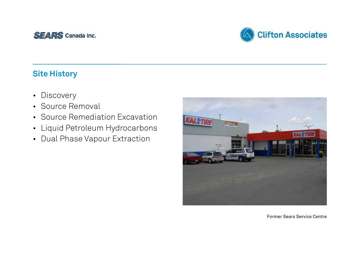



- Discovery
- Source Removal
- Source Remediation Excavation
- Liquid Petroleum Hydrocarbons
- Dual Phase Vapour Extraction



Former Sears Service Centre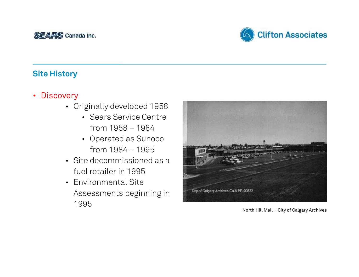



- **Discovery**
	- • Originally developed 1958
		- • Sears Service Centre from 1958 – 1984
		- • Operated as Sunoco from 1984 – 1995
	- • Site decommissioned as a fuel retailer in 1995
	- Environmental Site Assessments beginning in 1995



North Hill Mall - City of Calgary Archives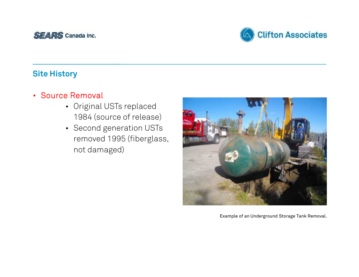



- **Source Removal**
	- 1984 (source of release) • Original USTs replaced
	- Second generation USTs removed 1995 (fiberglass, not damaged)



Example of an Underground Storage Tank Removal.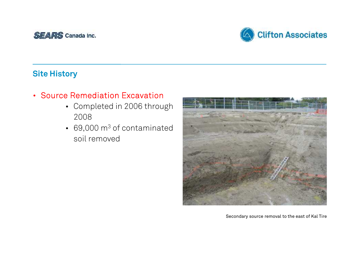



## • **Source Remediation Excavation**

- • Completed in 2006 through 2008
- $\cdot$  69,000 m<sup>3</sup> of contaminated soil removed



Secondary source removal to the east of Kal Tire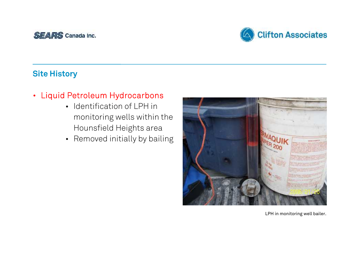



# • **Liquid Petroleum Hydrocarbons**

- • Identification of LPH in monitoring wells within the Hounsfield Heights area
- Removed initially by bailing



LPH in monitoring well bailer.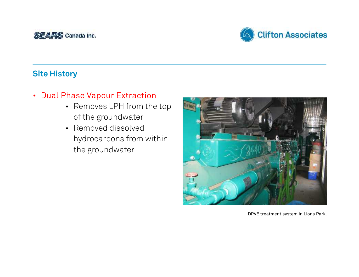



## • **Dual Phase Vapour Extraction**

- • Removes LPH from the top of the groundwater
- hydrocarbons from within • Removed dissolved the groundwater



DPVE treatment system in Lions Park.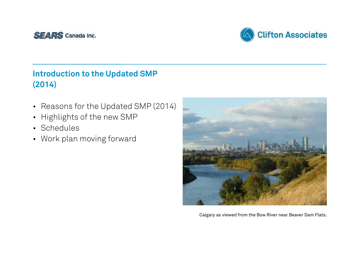



- Reasons for the Updated SMP (2014)
- Highlights of the new SMP
- Schedules
- Work plan moving forward



Calgary as viewed from the Bow River near Beaver Dam Flats.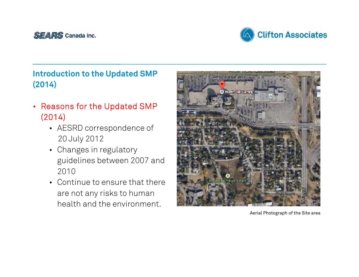



- **Reasons for the Updated SMP (2014)**
	- 20 July 2012 • AESRD correspondence of
	- • Changes in regulatory guidelines between 2007 and 2010
	- • Continue to ensure that there are not any risks to human health and the environment.



Aerial Photograph of the Site area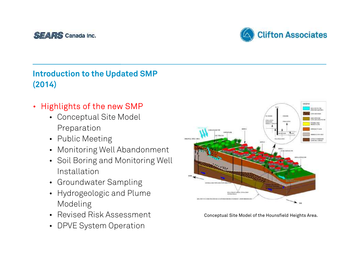



- **Highlights of the new SMP**
	- • Conceptual Site Model Preparation
	- Public Meeting
	- Monitoring Well Abandonment
	- • Soil Boring and Monitoring Well Installation
	- Groundwater Sampling
	- • Hydrogeologic and Plume Modeling
	- Revised Risk Assessment Conceptual Site Model of the Hounsfield Heights Area.
	- DPVE System Operation



Conceptual Site Model of the Hounsfield Heights Area.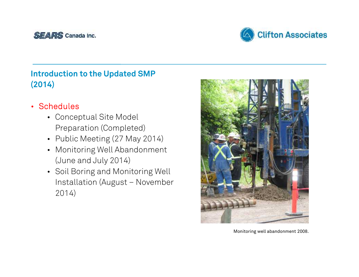



- **Schedules**
	- • Conceptual Site Model Preparation (Completed)
	- Public Meeting (27 May 2014)
	- (June and July 2014) • Monitoring Well Abandonment
	- • Soil Boring and Monitoring Well Installation (August – November 2014)



Monitoring well abandonment 2008.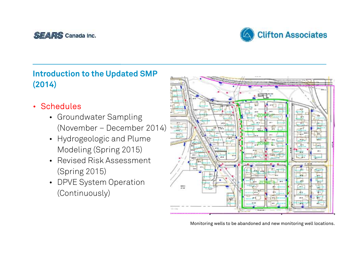



- **Schedules**
	- Groundwater Sampling (November – December 2014)
	- • Hydrogeologic and Plume Modeling (Spring 2015)
	- Revised Risk Assessment (Spring 2015)
	- DPVE System Operation (Continuously)



Monitoring wells to be abandoned and new monitoring well locations.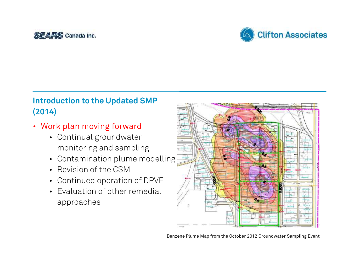



- **Work plan moving forward**
	- Continual groundwater monitoring and sampling
	- Contamination plume modelling
	- Revision of the CSM
	- Continued operation of DPVE
	- • Evaluation of other remedial approaches



Benzene Plume Map from the October 2012 Groundwater Sampling Event